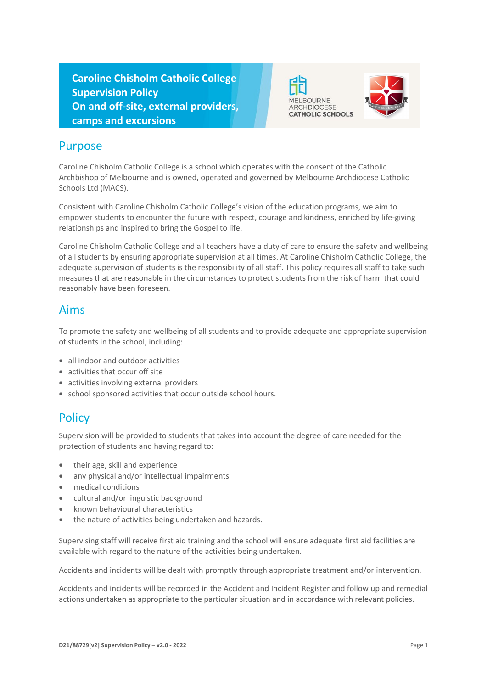**Caroline Chisholm Catholic College Supervision Policy On and off-site, external providers, camps and excursions**





#### Purpose

Caroline Chisholm Catholic College is a school which operates with the consent of the Catholic Archbishop of Melbourne and is owned, operated and governed by Melbourne Archdiocese Catholic Schools Ltd (MACS).

Consistent with Caroline Chisholm Catholic College's vision of the education programs, we aim to empower students to encounter the future with respect, courage and kindness, enriched by life-giving relationships and inspired to bring the Gospel to life.

Caroline Chisholm Catholic College and all teachers have a duty of care to ensure the safety and wellbeing of all students by ensuring appropriate supervision at all times. At Caroline Chisholm Catholic College, the adequate supervision of students is the responsibility of all staff. This policy requires all staff to take such measures that are reasonable in the circumstances to protect students from the risk of harm that could reasonably have been foreseen.

#### Aims

To promote the safety and wellbeing of all students and to provide adequate and appropriate supervision of students in the school, including:

- all indoor and outdoor activities
- activities that occur off site
- activities involving external providers
- school sponsored activities that occur outside school hours.

## **Policy**

Supervision will be provided to students that takes into account the degree of care needed for the protection of students and having regard to:

- their age, skill and experience
- any physical and/or intellectual impairments
- medical conditions
- cultural and/or linguistic background
- known behavioural characteristics
- the nature of activities being undertaken and hazards.

Supervising staff will receive first aid training and the school will ensure adequate first aid facilities are available with regard to the nature of the activities being undertaken.

Accidents and incidents will be dealt with promptly through appropriate treatment and/or intervention.

Accidents and incidents will be recorded in the Accident and Incident Register and follow up and remedial actions undertaken as appropriate to the particular situation and in accordance with relevant policies.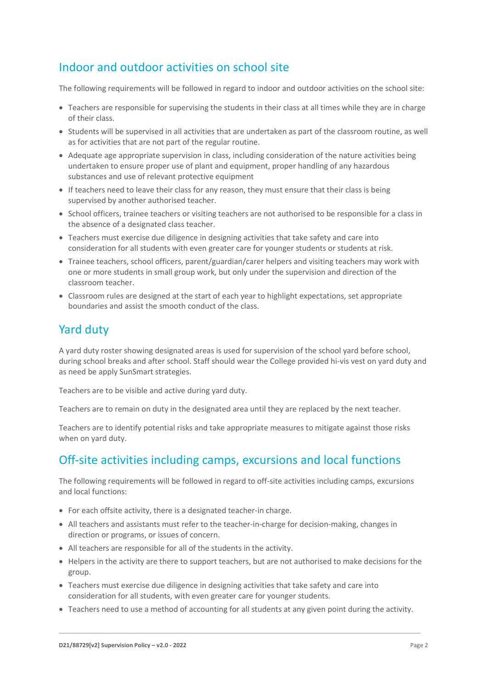## Indoor and outdoor activities on school site

The following requirements will be followed in regard to indoor and outdoor activities on the school site:

- Teachers are responsible for supervising the students in their class at all times while they are in charge of their class.
- Students will be supervised in all activities that are undertaken as part of the classroom routine, as well as for activities that are not part of the regular routine.
- Adequate age appropriate supervision in class, including consideration of the nature activities being undertaken to ensure proper use of plant and equipment, proper handling of any hazardous substances and use of relevant protective equipment
- If teachers need to leave their class for any reason, they must ensure that their class is being supervised by another authorised teacher.
- School officers, trainee teachers or visiting teachers are not authorised to be responsible for a class in the absence of a designated class teacher.
- Teachers must exercise due diligence in designing activities that take safety and care into consideration for all students with even greater care for younger students or students at risk.
- Trainee teachers, school officers, parent/guardian/carer helpers and visiting teachers may work with one or more students in small group work, but only under the supervision and direction of the classroom teacher.
- Classroom rules are designed at the start of each year to highlight expectations, set appropriate boundaries and assist the smooth conduct of the class.

#### Yard duty

A yard duty roster showing designated areas is used for supervision of the school yard before school, during school breaks and after school. Staff should wear the College provided hi-vis vest on yard duty and as need be apply SunSmart strategies.

Teachers are to be visible and active during yard duty.

Teachers are to remain on duty in the designated area until they are replaced by the next teacher.

Teachers are to identify potential risks and take appropriate measures to mitigate against those risks when on yard duty.

## Off-site activities including camps, excursions and local functions

The following requirements will be followed in regard to off-site activities including camps, excursions and local functions:

- For each offsite activity, there is a designated teacher-in charge.
- All teachers and assistants must refer to the teacher-in-charge for decision-making, changes in direction or programs, or issues of concern.
- All teachers are responsible for all of the students in the activity.
- Helpers in the activity are there to support teachers, but are not authorised to make decisions for the group.
- Teachers must exercise due diligence in designing activities that take safety and care into consideration for all students, with even greater care for younger students.
- Teachers need to use a method of accounting for all students at any given point during the activity.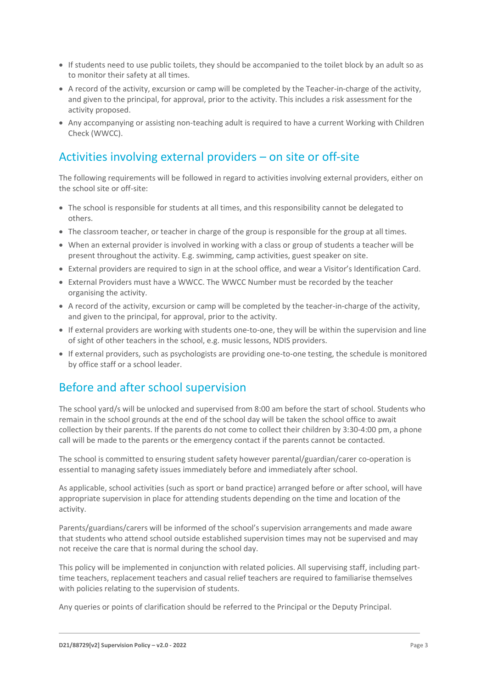- If students need to use public toilets, they should be accompanied to the toilet block by an adult so as to monitor their safety at all times.
- A record of the activity, excursion or camp will be completed by the Teacher-in-charge of the activity, and given to the principal, for approval, prior to the activity. This includes a risk assessment for the activity proposed.
- Any accompanying or assisting non-teaching adult is required to have a current Working with Children Check (WWCC).

# Activities involving external providers – on site or off-site

The following requirements will be followed in regard to activities involving external providers, either on the school site or off-site:

- The school is responsible for students at all times, and this responsibility cannot be delegated to others.
- The classroom teacher, or teacher in charge of the group is responsible for the group at all times.
- When an external provider is involved in working with a class or group of students a teacher will be present throughout the activity. E.g. swimming, camp activities, guest speaker on site.
- External providers are required to sign in at the school office, and wear a Visitor's Identification Card.
- External Providers must have a WWCC. The WWCC Number must be recorded by the teacher organising the activity.
- A record of the activity, excursion or camp will be completed by the teacher-in-charge of the activity, and given to the principal, for approval, prior to the activity.
- If external providers are working with students one-to-one, they will be within the supervision and line of sight of other teachers in the school, e.g. music lessons, NDIS providers.
- If external providers, such as psychologists are providing one-to-one testing, the schedule is monitored by office staff or a school leader.

## Before and after school supervision

The school yard/s will be unlocked and supervised from 8:00 am before the start of school. Students who remain in the school grounds at the end of the school day will be taken the school office to await collection by their parents. If the parents do not come to collect their children by 3:30-4:00 pm, a phone call will be made to the parents or the emergency contact if the parents cannot be contacted.

The school is committed to ensuring student safety however parental/guardian/carer co-operation is essential to managing safety issues immediately before and immediately after school.

As applicable, school activities (such as sport or band practice) arranged before or after school, will have appropriate supervision in place for attending students depending on the time and location of the activity.

Parents/guardians/carers will be informed of the school's supervision arrangements and made aware that students who attend school outside established supervision times may not be supervised and may not receive the care that is normal during the school day.

This policy will be implemented in conjunction with related policies. All supervising staff, including parttime teachers, replacement teachers and casual relief teachers are required to familiarise themselves with policies relating to the supervision of students.

Any queries or points of clarification should be referred to the Principal or the Deputy Principal.